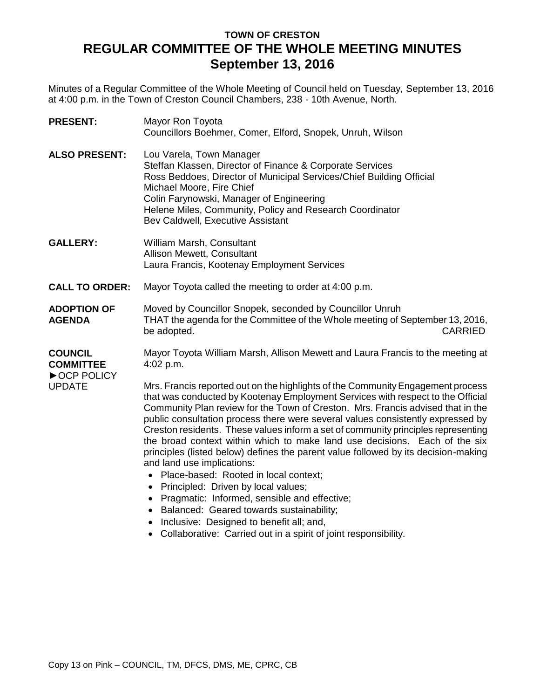# **TOWN OF CRESTON REGULAR COMMITTEE OF THE WHOLE MEETING MINUTES September 13, 2016**

Minutes of a Regular Committee of the Whole Meeting of Council held on Tuesday, September 13, 2016 at 4:00 p.m. in the Town of Creston Council Chambers, 238 - 10th Avenue, North.

| <b>PRESENT:</b>                                                     | Mayor Ron Toyota<br>Councillors Boehmer, Comer, Elford, Snopek, Unruh, Wilson                                                                                                                                                                                                                                                                                                                                                                                                                                                                                                                                                                                                                                                                                                                                                                                     |
|---------------------------------------------------------------------|-------------------------------------------------------------------------------------------------------------------------------------------------------------------------------------------------------------------------------------------------------------------------------------------------------------------------------------------------------------------------------------------------------------------------------------------------------------------------------------------------------------------------------------------------------------------------------------------------------------------------------------------------------------------------------------------------------------------------------------------------------------------------------------------------------------------------------------------------------------------|
| <b>ALSO PRESENT:</b>                                                | Lou Varela, Town Manager<br>Steffan Klassen, Director of Finance & Corporate Services<br>Ross Beddoes, Director of Municipal Services/Chief Building Official<br>Michael Moore, Fire Chief<br>Colin Farynowski, Manager of Engineering<br>Helene Miles, Community, Policy and Research Coordinator<br>Bev Caldwell, Executive Assistant                                                                                                                                                                                                                                                                                                                                                                                                                                                                                                                           |
| <b>GALLERY:</b>                                                     | William Marsh, Consultant<br>Allison Mewett, Consultant<br>Laura Francis, Kootenay Employment Services                                                                                                                                                                                                                                                                                                                                                                                                                                                                                                                                                                                                                                                                                                                                                            |
| <b>CALL TO ORDER:</b>                                               | Mayor Toyota called the meeting to order at 4:00 p.m.                                                                                                                                                                                                                                                                                                                                                                                                                                                                                                                                                                                                                                                                                                                                                                                                             |
| <b>ADOPTION OF</b><br><b>AGENDA</b>                                 | Moved by Councillor Snopek, seconded by Councillor Unruh<br>THAT the agenda for the Committee of the Whole meeting of September 13, 2016,<br>be adopted.<br><b>CARRIED</b>                                                                                                                                                                                                                                                                                                                                                                                                                                                                                                                                                                                                                                                                                        |
| <b>COUNCIL</b><br><b>COMMITTEE</b><br>▶ OCP POLICY<br><b>UPDATE</b> | Mayor Toyota William Marsh, Allison Mewett and Laura Francis to the meeting at<br>4:02 p.m.                                                                                                                                                                                                                                                                                                                                                                                                                                                                                                                                                                                                                                                                                                                                                                       |
|                                                                     | Mrs. Francis reported out on the highlights of the Community Engagement process<br>that was conducted by Kootenay Employment Services with respect to the Official<br>Community Plan review for the Town of Creston. Mrs. Francis advised that in the<br>public consultation process there were several values consistently expressed by<br>Creston residents. These values inform a set of community principles representing<br>the broad context within which to make land use decisions. Each of the six<br>principles (listed below) defines the parent value followed by its decision-making<br>and land use implications:<br>• Place-based: Rooted in local context;<br>• Principled: Driven by local values;<br>• Pragmatic: Informed, sensible and effective;<br>• Balanced: Geared towards sustainability;<br>• Inclusive: Designed to benefit all; and, |

Collaborative: Carried out in a spirit of joint responsibility.